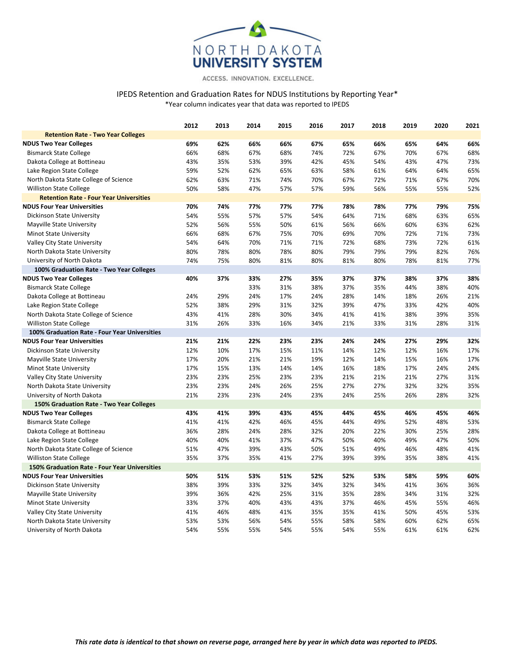

ACCESS. INNOVATION. EXCELLENCE.

## IPEDS Retention and Graduation Rates for NDUS Institutions by Reporting Year\* \*Year column indicates year that data was reported to IPEDS

|                                                | 2012 | 2013 | 2014 | 2015 | 2016 | 2017 | 2018 | 2019 | 2020 | 2021 |
|------------------------------------------------|------|------|------|------|------|------|------|------|------|------|
| <b>Retention Rate - Two Year Colleges</b>      |      |      |      |      |      |      |      |      |      |      |
| <b>NDUS Two Year Colleges</b>                  | 69%  | 62%  | 66%  | 66%  | 67%  | 65%  | 66%  | 65%  | 64%  | 66%  |
| <b>Bismarck State College</b>                  | 66%  | 68%  | 67%  | 68%  | 74%  | 72%  | 67%  | 70%  | 67%  | 68%  |
| Dakota College at Bottineau                    | 43%  | 35%  | 53%  | 39%  | 42%  | 45%  | 54%  | 43%  | 47%  | 73%  |
| Lake Region State College                      | 59%  | 52%  | 62%  | 65%  | 63%  | 58%  | 61%  | 64%  | 64%  | 65%  |
| North Dakota State College of Science          | 62%  | 63%  | 71%  | 74%  | 70%  | 67%  | 72%  | 71%  | 67%  | 70%  |
| Williston State College                        | 50%  | 58%  | 47%  | 57%  | 57%  | 59%  | 56%  | 55%  | 55%  | 52%  |
| <b>Retention Rate - Four Year Universities</b> |      |      |      |      |      |      |      |      |      |      |
| <b>NDUS Four Year Universities</b>             | 70%  | 74%  | 77%  | 77%  | 77%  | 78%  | 78%  | 77%  | 79%  | 75%  |
| Dickinson State University                     | 54%  | 55%  | 57%  | 57%  | 54%  | 64%  | 71%  | 68%  | 63%  | 65%  |
| Mayville State University                      | 52%  | 56%  | 55%  | 50%  | 61%  | 56%  | 66%  | 60%  | 63%  | 62%  |
| <b>Minot State University</b>                  | 66%  | 68%  | 67%  | 75%  | 70%  | 69%  | 70%  | 72%  | 71%  | 73%  |
| Valley City State University                   | 54%  | 64%  | 70%  | 71%  | 71%  | 72%  | 68%  | 73%  | 72%  | 61%  |
| North Dakota State University                  | 80%  | 78%  | 80%  | 78%  | 80%  | 79%  | 79%  | 79%  | 82%  | 76%  |
| University of North Dakota                     | 74%  | 75%  | 80%  | 81%  | 80%  | 81%  | 80%  | 78%  | 81%  | 77%  |
| 100% Graduation Rate - Two Year Colleges       |      |      |      |      |      |      |      |      |      |      |
| <b>NDUS Two Year Colleges</b>                  | 40%  | 37%  | 33%  | 27%  | 35%  | 37%  | 37%  | 38%  | 37%  | 38%  |
| <b>Bismarck State College</b>                  |      |      | 33%  | 31%  | 38%  | 37%  | 35%  | 44%  | 38%  | 40%  |
| Dakota College at Bottineau                    | 24%  | 29%  | 24%  | 17%  | 24%  | 28%  | 14%  | 18%  | 26%  | 21%  |
| Lake Region State College                      | 52%  | 38%  | 29%  | 31%  | 32%  | 39%  | 47%  | 33%  | 42%  | 40%  |
| North Dakota State College of Science          | 43%  | 41%  | 28%  | 30%  | 34%  | 41%  | 41%  | 38%  | 39%  | 35%  |
| <b>Williston State College</b>                 | 31%  | 26%  | 33%  | 16%  | 34%  | 21%  | 33%  | 31%  | 28%  | 31%  |
| 100% Graduation Rate - Four Year Universities  |      |      |      |      |      |      |      |      |      |      |
| <b>NDUS Four Year Universities</b>             | 21%  | 21%  | 22%  | 23%  | 23%  | 24%  | 24%  | 27%  | 29%  | 32%  |
| Dickinson State University                     | 12%  | 10%  | 17%  | 15%  | 11%  | 14%  | 12%  | 12%  | 16%  | 17%  |
| Mayville State University                      | 17%  | 20%  | 21%  | 21%  | 19%  | 12%  | 14%  | 15%  | 16%  | 17%  |
| <b>Minot State University</b>                  | 17%  | 15%  | 13%  | 14%  | 14%  | 16%  | 18%  | 17%  | 24%  | 24%  |
| Valley City State University                   | 23%  | 23%  | 25%  | 23%  | 23%  | 21%  | 21%  | 21%  | 27%  | 31%  |
| North Dakota State University                  | 23%  | 23%  | 24%  | 26%  | 25%  | 27%  | 27%  | 32%  | 32%  | 35%  |
| University of North Dakota                     | 21%  | 23%  | 23%  | 24%  | 23%  | 24%  | 25%  | 26%  | 28%  | 32%  |
| 150% Graduation Rate - Two Year Colleges       |      |      |      |      |      |      |      |      |      |      |
| <b>NDUS Two Year Colleges</b>                  | 43%  | 41%  | 39%  | 43%  | 45%  | 44%  | 45%  | 46%  | 45%  | 46%  |
| <b>Bismarck State College</b>                  | 41%  | 41%  | 42%  | 46%  | 45%  | 44%  | 49%  | 52%  | 48%  | 53%  |
| Dakota College at Bottineau                    | 36%  | 28%  | 24%  | 28%  | 32%  | 20%  | 22%  | 30%  | 25%  | 28%  |
| Lake Region State College                      | 40%  | 40%  | 41%  | 37%  | 47%  | 50%  | 40%  | 49%  | 47%  | 50%  |
| North Dakota State College of Science          | 51%  | 47%  | 39%  | 43%  | 50%  | 51%  | 49%  | 46%  | 48%  | 41%  |
| <b>Williston State College</b>                 | 35%  | 37%  | 35%  | 41%  | 27%  | 39%  | 39%  | 35%  | 38%  | 41%  |
| 150% Graduation Rate - Four Year Universities  |      |      |      |      |      |      |      |      |      |      |
| <b>NDUS Four Year Universities</b>             | 50%  | 51%  | 53%  | 51%  | 52%  | 52%  | 53%  | 58%  | 59%  | 60%  |
| Dickinson State University                     | 38%  | 39%  | 33%  | 32%  | 34%  | 32%  | 34%  | 41%  | 36%  | 36%  |
| Mayville State University                      | 39%  | 36%  | 42%  | 25%  | 31%  | 35%  | 28%  | 34%  | 31%  | 32%  |
| <b>Minot State University</b>                  | 33%  | 37%  | 40%  | 43%  | 43%  | 37%  | 46%  | 45%  | 55%  | 46%  |
| Valley City State University                   | 41%  | 46%  | 48%  | 41%  | 35%  | 35%  | 41%  | 50%  | 45%  | 53%  |
| North Dakota State University                  | 53%  | 53%  | 56%  | 54%  | 55%  | 58%  | 58%  | 60%  | 62%  | 65%  |
| University of North Dakota                     | 54%  | 55%  | 55%  | 54%  | 55%  | 54%  | 55%  | 61%  | 61%  | 62%  |